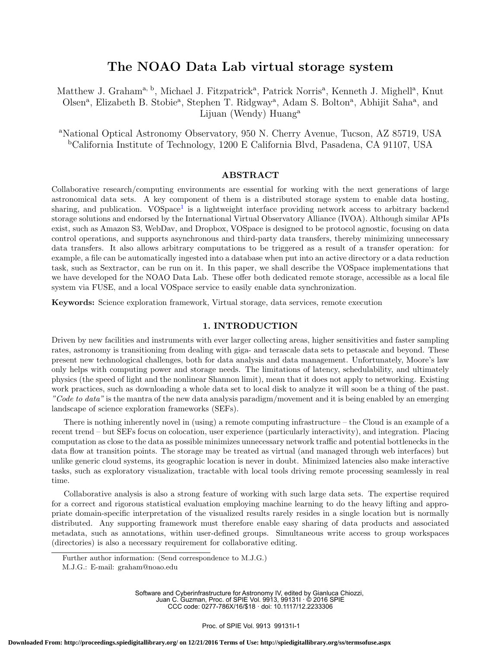# The NOAO Data Lab virtual storage system

Matthew J. Graham<sup>a, b</sup>, Michael J. Fitzpatrick<sup>a</sup>, Patrick Norris<sup>a</sup>, Kenneth J. Mighell<sup>a</sup>, Knut Olsen<sup>a</sup>, Elizabeth B. Stobie<sup>a</sup>, Stephen T. Ridgway<sup>a</sup>, Adam S. Bolton<sup>a</sup>, Abhijit Saha<sup>a</sup>, and Lijuan (Wendy) Huang<sup>a</sup>

<sup>a</sup>National Optical Astronomy Observatory, 950 N. Cherry Avenue, Tucson, AZ 85719, USA <sup>b</sup>California Institute of Technology, 1200 E California Blvd, Pasadena, CA 91107, USA

## ABSTRACT

Collaborative research/computing environments are essential for working with the next generations of large astronomical data sets. A key component of them is a distributed storage system to enable data hosting, sharing, and publication. VOSpace<sup>1</sup> is a lightweight interface providing network access to arbitrary backend storage solutions and endorsed by the International Virtual Observatory Alliance (IVOA). Although similar APIs exist, such as Amazon S3, WebDav, and Dropbox, VOSpace is designed to be protocol agnostic, focusing on data control operations, and supports asynchronous and third-party data transfers, thereby minimizing unnecessary data transfers. It also allows arbitrary computations to be triggered as a result of a transfer operation: for example, a file can be automatically ingested into a database when put into an active directory or a data reduction task, such as Sextractor, can be run on it. In this paper, we shall describe the VOSpace implementations that we have developed for the NOAO Data Lab. These offer both dedicated remote storage, accessible as a local file system via FUSE, and a local VOSpace service to easily enable data synchronization.

Keywords: Science exploration framework, Virtual storage, data services, remote execution

#### 1. INTRODUCTION

Driven by new facilities and instruments with ever larger collecting areas, higher sensitivities and faster sampling rates, astronomy is transitioning from dealing with giga- and terascale data sets to petascale and beyond. These present new technological challenges, both for data analysis and data management. Unfortunately, Moore's law only helps with computing power and storage needs. The limitations of latency, schedulability, and ultimately physics (the speed of light and the nonlinear Shannon limit), mean that it does not apply to networking. Existing work practices, such as downloading a whole data set to local disk to analyze it will soon be a thing of the past. "Code to data" is the mantra of the new data analysis paradigm/movement and it is being enabled by an emerging landscape of science exploration frameworks (SEFs).

There is nothing inherently novel in (using) a remote computing infrastructure – the Cloud is an example of a recent trend – but SEFs focus on colocation, user experience (particularly interactivity), and integration. Placing computation as close to the data as possible minimizes unnecessary network traffic and potential bottlenecks in the data flow at transition points. The storage may be treated as virtual (and managed through web interfaces) but unlike generic cloud systems, its geographic location is never in doubt. Minimized latencies also make interactive tasks, such as exploratory visualization, tractable with local tools driving remote processing seamlessly in real time.

Collaborative analysis is also a strong feature of working with such large data sets. The expertise required for a correct and rigorous statistical evaluation employing machine learning to do the heavy lifting and appropriate domain-specific interpretation of the visualized results rarely resides in a single location but is normally distributed. Any supporting framework must therefore enable easy sharing of data products and associated metadata, such as annotations, within user-defined groups. Simultaneous write access to group workspaces (directories) is also a necessary requirement for collaborative editing.

Software and Cyberinfrastructure for Astronomy IV, edited by Gianluca Chiozzi, Juan C. Guzman, Proc. of SPIE Vol. 9913, 99131I · © 2016 SPIE CCC code: 0277-786X/16/\$18 · doi: 10.1117/12.2233306

Further author information: (Send correspondence to M.J.G.)

M.J.G.: E-mail: graham@noao.edu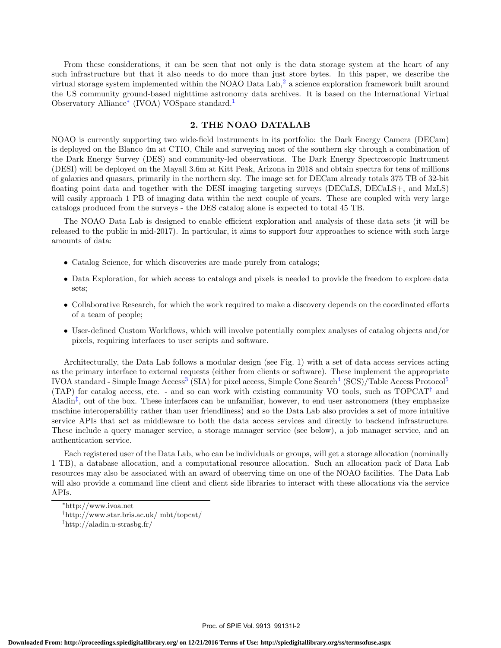From these considerations, it can be seen that not only is the data storage system at the heart of any such infrastructure but that it also needs to do more than just store bytes. In this paper, we describe the virtual storage system implemented within the NOAO Data Lab,<sup>2</sup> a science exploration framework built around the US community ground-based nighttime astronomy data archives. It is based on the International Virtual Observatory Alliance<sup>∗</sup> (IVOA) VOSpace standard.<sup>1</sup>

#### 2. THE NOAO DATALAB

NOAO is currently supporting two wide-field instruments in its portfolio: the Dark Energy Camera (DECam) is deployed on the Blanco 4m at CTIO, Chile and surveying most of the southern sky through a combination of the Dark Energy Survey (DES) and community-led observations. The Dark Energy Spectroscopic Instrument (DESI) will be deployed on the Mayall 3.6m at Kitt Peak, Arizona in 2018 and obtain spectra for tens of millions of galaxies and quasars, primarily in the northern sky. The image set for DECam already totals 375 TB of 32-bit floating point data and together with the DESI imaging targeting surveys (DECaLS, DECaLS+, and MzLS) will easily approach 1 PB of imaging data within the next couple of years. These are coupled with very large catalogs produced from the surveys - the DES catalog alone is expected to total 45 TB.

The NOAO Data Lab is designed to enable efficient exploration and analysis of these data sets (it will be released to the public in mid-2017). In particular, it aims to support four approaches to science with such large amounts of data:

- Catalog Science, for which discoveries are made purely from catalogs;
- Data Exploration, for which access to catalogs and pixels is needed to provide the freedom to explore data sets;
- Collaborative Research, for which the work required to make a discovery depends on the coordinated efforts of a team of people;
- User-defined Custom Workflows, which will involve potentially complex analyses of catalog objects and/or pixels, requiring interfaces to user scripts and software.

Architecturally, the Data Lab follows a modular design (see Fig. 1) with a set of data access services acting as the primary interface to external requests (either from clients or software). These implement the appropriate IVOA standard - Simple Image Access<sup>3</sup> (SIA) for pixel access, Simple Cone Search<sup>4</sup> (SCS)/Table Access Protocol<sup>5</sup>  $(TAP)$  for catalog access, etc. - and so can work with existing community VO tools, such as  $TOPCAT^{\dagger}$  and Aladin‡ , out of the box. These interfaces can be unfamiliar, however, to end user astronomers (they emphasize machine interoperability rather than user friendliness) and so the Data Lab also provides a set of more intuitive service APIs that act as middleware to both the data access services and directly to backend infrastructure. These include a query manager service, a storage manager service (see below), a job manager service, and an authentication service.

Each registered user of the Data Lab, who can be individuals or groups, will get a storage allocation (nominally 1 TB), a database allocation, and a computational resource allocation. Such an allocation pack of Data Lab resources may also be associated with an award of observing time on one of the NOAO facilities. The Data Lab will also provide a command line client and client side libraries to interact with these allocations via the service APIs.

<sup>∗</sup>http://www.ivoa.net

<sup>†</sup>http://www.star.bris.ac.uk/ mbt/topcat/

<sup>‡</sup>http://aladin.u-strasbg.fr/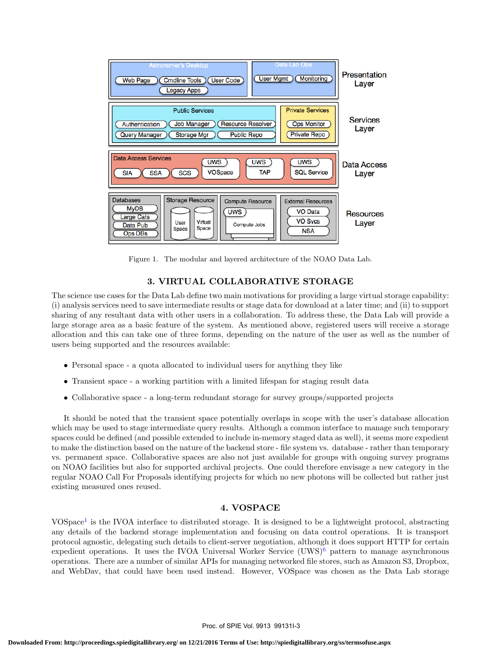

Figure 1. The modular and layered architecture of the NOAO Data Lab.

## 3. VIRTUAL COLLABORATIVE STORAGE

The science use cases for the Data Lab define two main motivations for providing a large virtual storage capability: (i) analysis services need to save intermediate results or stage data for download at a later time; and (ii) to support sharing of any resultant data with other users in a collaboration. To address these, the Data Lab will provide a large storage area as a basic feature of the system. As mentioned above, registered users will receive a storage allocation and this can take one of three forms, depending on the nature of the user as well as the number of users being supported and the resources available:

- Personal space a quota allocated to individual users for anything they like
- Transient space a working partition with a limited lifespan for staging result data
- Collaborative space a long-term redundant storage for survey groups/supported projects

It should be noted that the transient space potentially overlaps in scope with the user's database allocation which may be used to stage intermediate query results. Although a common interface to manage such temporary spaces could be defined (and possible extended to include in-memory staged data as well), it seems more expedient to make the distinction based on the nature of the backend store - file system vs. database - rather than temporary vs. permanent space. Collaborative spaces are also not just available for groups with ongoing survey programs on NOAO facilities but also for supported archival projects. One could therefore envisage a new category in the regular NOAO Call For Proposals identifying projects for which no new photons will be collected but rather just existing measured ones reused.

## 4. VOSPACE

VOSpace<sup>1</sup> is the IVOA interface to distributed storage. It is designed to be a lightweight protocol, abstracting any details of the backend storage implementation and focusing on data control operations. It is transport protocol agnostic, delegating such details to client-server negotiation, although it does support HTTP for certain expedient operations. It uses the IVOA Universal Worker Service  $(UWS)^6$  pattern to manage asynchronous operations. There are a number of similar APIs for managing networked file stores, such as Amazon S3, Dropbox, and WebDav, that could have been used instead. However, VOSpace was chosen as the Data Lab storage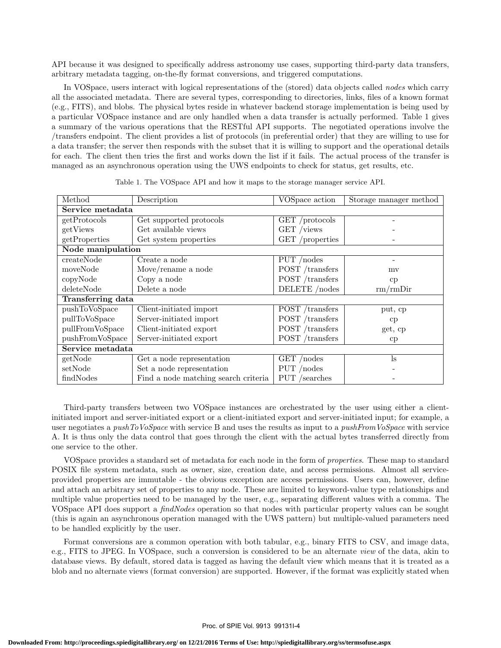API because it was designed to specifically address astronomy use cases, supporting third-party data transfers, arbitrary metadata tagging, on-the-fly format conversions, and triggered computations.

In VOSpace, users interact with logical representations of the (stored) data objects called nodes which carry all the associated metadata. There are several types, corresponding to directories, links, files of a known format (e.g., FITS), and blobs. The physical bytes reside in whatever backend storage implementation is being used by a particular VOSpace instance and are only handled when a data transfer is actually performed. Table 1 gives a summary of the various operations that the RESTful API supports. The negotiated operations involve the /transfers endpoint. The client provides a list of protocols (in preferential order) that they are willing to use for a data transfer; the server then responds with the subset that it is willing to support and the operational details for each. The client then tries the first and works down the list if it fails. The actual process of the transfer is managed as an asynchronous operation using the UWS endpoints to check for status, get results, etc.

| Method            | Description                          | VOSpace action  | Storage manager method |
|-------------------|--------------------------------------|-----------------|------------------------|
| Service metadata  |                                      |                 |                        |
| getProtocols      | Get supported protocols              | GET /protocols  |                        |
| getViews          | Get available views                  | GET /views      |                        |
| getProperties     | Get system properties                | GET /properties |                        |
| Node manipulation |                                      |                 |                        |
| createNode        | Create a node                        | PUT /nodes      |                        |
| moveNode          | Move/rename a node                   | POST /transfers | mv                     |
| copyNode          | Copy a node                          | POST /transfers | cp                     |
| deleteNode        | Delete a node                        | DELETE /nodes   | rm/mDir                |
| Transferring data |                                      |                 |                        |
| pushToVoSpace     | Client-initiated import              | POST /transfers | put, cp                |
| pullToVoSpace     | Server-initiated import              | POST /transfers | cp                     |
| pullFromVoSpace   | Client-initiated export              | POST /transfers | get, cp                |
| pushFromVoSpace   | Server-initiated export              | POST /transfers | cp                     |
| Service metadata  |                                      |                 |                        |
| getNode           | Get a node representation            | GET /nodes      | $\lg$                  |
| setNode           | Set a node representation            | PUT /nodes      |                        |
| findNodes         | Find a node matching search criteria | PUT /searches   |                        |

Table 1. The VOSpace API and how it maps to the storage manager service API.

Third-party transfers between two VOSpace instances are orchestrated by the user using either a clientinitiated import and server-initiated export or a client-initiated export and server-initiated input; for example, a user negotiates a pushToVoSpace with service B and uses the results as input to a pushFromVoSpace with service A. It is thus only the data control that goes through the client with the actual bytes transferred directly from one service to the other.

VOSpace provides a standard set of metadata for each node in the form of properties. These map to standard POSIX file system metadata, such as owner, size, creation date, and access permissions. Almost all serviceprovided properties are immutable - the obvious exception are access permissions. Users can, however, define and attach an arbitrary set of properties to any node. These are limited to keyword-value type relationships and multiple value properties need to be managed by the user, e.g., separating different values with a comma. The VOSpace API does support a *findNodes* operation so that nodes with particular property values can be sought (this is again an asynchronous operation managed with the UWS pattern) but multiple-valued parameters need to be handled explicitly by the user.

Format conversions are a common operation with both tabular, e.g., binary FITS to CSV, and image data, e.g., FITS to JPEG. In VOSpace, such a conversion is considered to be an alternate view of the data, akin to database views. By default, stored data is tagged as having the default view which means that it is treated as a blob and no alternate views (format conversion) are supported. However, if the format was explicitly stated when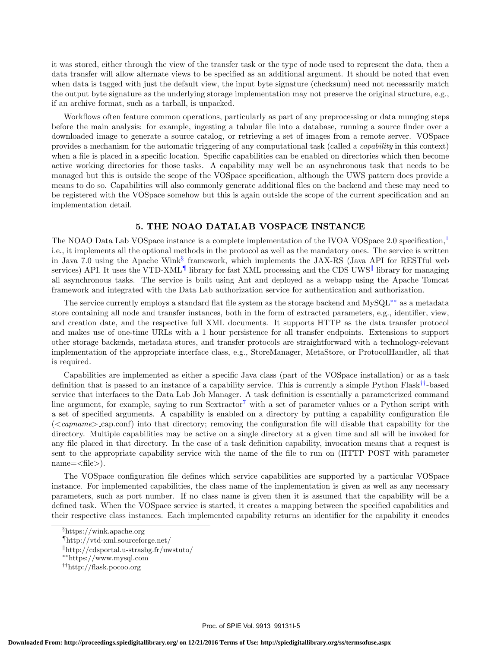it was stored, either through the view of the transfer task or the type of node used to represent the data, then a data transfer will allow alternate views to be specified as an additional argument. It should be noted that even when data is tagged with just the default view, the input byte signature (checksum) need not necessarily match the output byte signature as the underlying storage implementation may not preserve the original structure, e.g., if an archive format, such as a tarball, is unpacked.

Workflows often feature common operations, particularly as part of any preprocessing or data munging steps before the main analysis: for example, ingesting a tabular file into a database, running a source finder over a downloaded image to generate a source catalog, or retrieving a set of images from a remote server. VOSpace provides a mechanism for the automatic triggering of any computational task (called a capability in this context) when a file is placed in a specific location. Specific capabilities can be enabled on directories which then become active working directories for those tasks. A capability may well be an asynchronous task that needs to be managed but this is outside the scope of the VOSpace specification, although the UWS pattern does provide a means to do so. Capabilities will also commonly generate additional files on the backend and these may need to be registered with the VOSpace somehow but this is again outside the scope of the current specification and an implementation detail.

## 5. THE NOAO DATALAB VOSPACE INSTANCE

The NOAO Data Lab VOSpace instance is a complete implementation of the IVOA VOSpace 2.0 specification,<sup>1</sup> i.e., it implements all the optional methods in the protocol as well as the mandatory ones. The service is written in Java 7.0 using the Apache Wink§ framework, which implements the JAX-RS (Java API for RESTful web services) API. It uses the VTD-XML Ilibrary for fast XML processing and the CDS UWS<sup>||</sup> library for managing all asynchronous tasks. The service is built using Ant and deployed as a webapp using the Apache Tomcat framework and integrated with the Data Lab authorization service for authentication and authorization.

The service currently employs a standard flat file system as the storage backend and MySQL<sup>∗∗</sup> as a metadata store containing all node and transfer instances, both in the form of extracted parameters, e.g., identifier, view, and creation date, and the respective full XML documents. It supports HTTP as the data transfer protocol and makes use of one-time URLs with a 1 hour persistence for all transfer endpoints. Extensions to support other storage backends, metadata stores, and transfer protocols are straightforward with a technology-relevant implementation of the appropriate interface class, e.g., StoreManager, MetaStore, or ProtocolHandler, all that is required.

Capabilities are implemented as either a specific Java class (part of the VOSpace installation) or as a task definition that is passed to an instance of a capability service. This is currently a simple Python Flask<sup>††</sup>-based service that interfaces to the Data Lab Job Manager. A task definition is essentially a parameterized command line argument, for example, saying to run Sextractor<sup>7</sup> with a set of parameter values or a Python script with a set of specified arguments. A capability is enabled on a directory by putting a capability configuration file  $\langle\langle c\text{capname}\rangle$ -cap.conf) into that directory; removing the configuration file will disable that capability for the directory. Multiple capabilities may be active on a single directory at a given time and all will be invoked for any file placed in that directory. In the case of a task definition capability, invocation means that a request is sent to the appropriate capability service with the name of the file to run on (HTTP POST with parameter name=<file>).

The VOSpace configuration file defines which service capabilities are supported by a particular VOSpace instance. For implemented capabilities, the class name of the implementation is given as well as any necessary parameters, such as port number. If no class name is given then it is assumed that the capability will be a defined task. When the VOSpace service is started, it creates a mapping between the specified capabilities and their respective class instances. Each implemented capability returns an identifier for the capability it encodes

<sup>§</sup>https://wink.apache.org

<sup>¶</sup>http://vtd-xml.sourceforge.net/

<sup>k</sup>http://cdsportal.u-strasbg.fr/uwstuto/

<sup>∗∗</sup>https://www.mysql.com

<sup>††</sup>http://flask.pocoo.org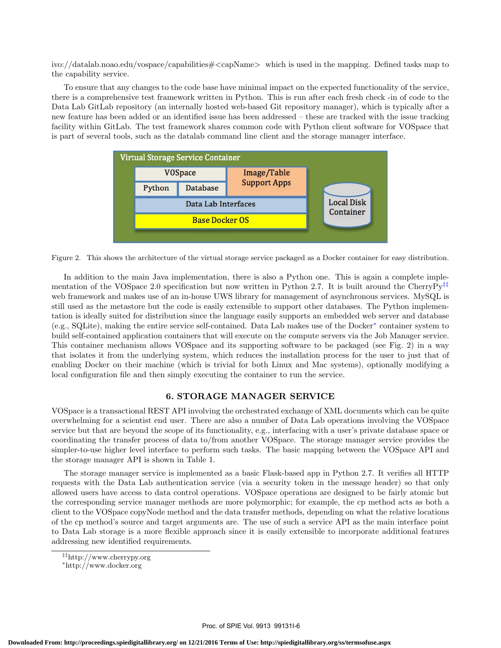ivo://datalab.noao.edu/vospace/capabilities#<capName> which is used in the mapping. Defined tasks map to the capability service.

To ensure that any changes to the code base have minimal impact on the expected functionality of the service, there is a comprehensive test framework written in Python. This is run after each fresh check -in of code to the Data Lab GitLab repository (an internally hosted web-based Git repository manager), which is typically after a new feature has been added or an identified issue has been addressed – these are tracked with the issue tracking facility within GitLab. The test framework shares common code with Python client software for VOSpace that is part of several tools, such as the datalab command line client and the storage manager interface.



Figure 2. This shows the architecture of the virtual storage service packaged as a Docker container for easy distribution.

In addition to the main Java implementation, there is also a Python one. This is again a complete implementation of the VOSpace 2.0 specification but now written in Python 2.7. It is built around the CherryPy<sup>††</sup> web framework and makes use of an in-house UWS library for management of asynchronous services. MySQL is still used as the metastore but the code is easily extensible to support other databases. The Python implementation is ideally suited for distribution since the language easily supports an embedded web server and database (e.g., SQLite), making the entire service self-contained. Data Lab makes use of the Docker<sup>∗</sup> container system to build self-contained application containers that will execute on the compute servers via the Job Manager service. This container mechanism allows VOSpace and its supporting software to be packaged (see Fig. 2) in a way that isolates it from the underlying system, which reduces the installation process for the user to just that of enabling Docker on their machine (which is trivial for both Linux and Mac systems), optionally modifying a local configuration file and then simply executing the container to run the service.

## 6. STORAGE MANAGER SERVICE

VOSpace is a transactional REST API involving the orchestrated exchange of XML documents which can be quite overwhelming for a scientist end user. There are also a number of Data Lab operations involving the VOSpace service but that are beyond the scope of its functionality, e.g., interfacing with a user's private database space or coordinating the transfer process of data to/from another VOSpace. The storage manager service provides the simpler-to-use higher level interface to perform such tasks. The basic mapping between the VOSpace API and the storage manager API is shown in Table 1.

The storage manager service is implemented as a basic Flask-based app in Python 2.7. It verifies all HTTP requests with the Data Lab authentication service (via a security token in the message header) so that only allowed users have access to data control operations. VOSpace operations are designed to be fairly atomic but the corresponding service manager methods are more polymorphic; for example, the cp method acts as both a client to the VOSpace copyNode method and the data transfer methods, depending on what the relative locations of the cp method's source and target arguments are. The use of such a service API as the main interface point to Data Lab storage is a more flexible approach since it is easily extensible to incorporate additional features addressing new identified requirements.

<sup>‡‡</sup>http://www.cherrypy.org

<sup>∗</sup>http://www.docker.org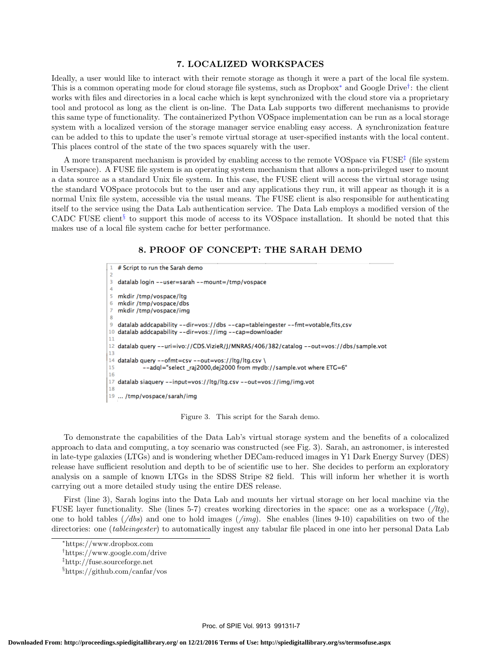## 7. LOCALIZED WORKSPACES

Ideally, a user would like to interact with their remote storage as though it were a part of the local file system. This is a common operating mode for cloud storage file systems, such as Dropbox<sup>\*</sup> and Google Drive<sup>†</sup>: the client works with files and directories in a local cache which is kept synchronized with the cloud store via a proprietary tool and protocol as long as the client is on-line. The Data Lab supports two different mechanisms to provide this same type of functionality. The containerized Python VOSpace implementation can be run as a local storage system with a localized version of the storage manager service enabling easy access. A synchronization feature can be added to this to update the user's remote virtual storage at user-specified instants with the local content. This places control of the state of the two spaces squarely with the user.

A more transparent mechanism is provided by enabling access to the remote VOSpace via FUSE<sup>‡</sup> (file system in Userspace). A FUSE file system is an operating system mechanism that allows a non-privileged user to mount a data source as a standard Unix file system. In this case, the FUSE client will access the virtual storage using the standard VOSpace protocols but to the user and any applications they run, it will appear as though it is a normal Unix file system, accessible via the usual means. The FUSE client is also responsible for authenticating itself to the service using the Data Lab authentication service. The Data Lab employs a modified version of the CADC FUSE client<sup>§</sup> to support this mode of access to its VOSpace installation. It should be noted that this makes use of a local file system cache for better performance.

## 8. PROOF OF CONCEPT: THE SARAH DEMO

# Script to run the Sarah demo 2 <sup>3</sup> datalab login -- user =sarah -- mount =/tmp /vospace 4 5 mkdir /tmp/vospace/ltg<br>6 mkdir /tmp/vospace/db mkdir /tmp/vospace/dbs 7 mkdir /tmp/vospace/img 8 9 datalab addcapability --dir= vos://dbs --cap=tableingester --fmt= votable, fits, csv<br>10 datalab addcapability --dir= vos://img --cap=downloader datalab addcapability --dir=vos://img --cap=downloader 1112 datalab query -- uri =ivo:/ /CDS.VizieR /J /MNRAS /406 /382 /catalog -- out = vos: / /dbs /sample.vot 1314 datalab query --ofmt=csv --out=vos://ltg/ltg.csv \<br>15  $-$ -adgl="select\_raj2000,dej2000 from mydb --adgl="select \_raj2000,dej2000 from mydb://sample.vot where ETG=6" 1617 datalab siaquery --input=vos://ltg/ltg.csv --out=vos://img/img.vot 1519 ... /tmp/vospace/sarah/img

Figure 3. This script for the Sarah demo.

To demonstrate the capabilities of the Data Lab's virtual storage system and the benefits of a colocalized approach to data and computing, a toy scenario was constructed (see Fig. 3). Sarah, an astronomer, is interested in late-type galaxies (LTGs) and is wondering whether DECam-reduced images in Y1 Dark Energy Survey (DES) release have sufficient resolution and depth to be of scientific use to her. She decides to perform an exploratory analysis on a sample of known LTGs in the SDSS Stripe 82 field. This will inform her whether it is worth carrying out a more detailed study using the entire DES release.

First (line 3), Sarah logins into the Data Lab and mounts her virtual storage on her local machine via the FUSE layer functionality. She (lines 5-7) creates working directories in the space: one as a workspace  $(\lambda t g)$ , one to hold tables  $(\overline{dbs})$  and one to hold images  $(\overline{b})$ . She enables (lines 9-10) capabilities on two of the directories: one *(tableingester)* to automatically ingest any tabular file placed in one into her personal Data Lab

<sup>∗</sup>https://www.dropbox.com

<sup>†</sup>https://www.google.com/drive

<sup>‡</sup>http://fuse.sourceforge.net

<sup>§</sup>https://github.com/canfar/vos